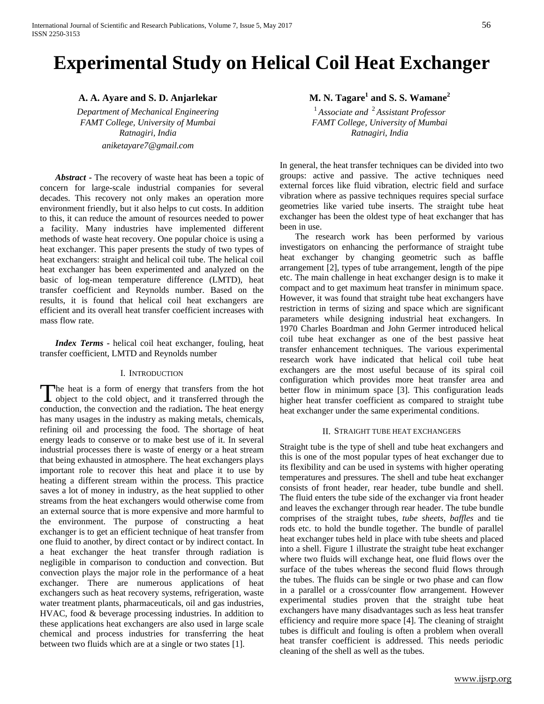# **Experimental Study on Helical Coil Heat Exchanger**

*FAMT College, University of Mumbai FAMT College, University of Mumbai aniketayare7@gmail.com*

*Abstract* **-** The recovery of waste heat has been a topic of concern for large-scale industrial companies for several decades. This recovery not only makes an operation more environment friendly, but it also helps to cut costs. In addition to this, it can reduce the amount of resources needed to power a facility. Many industries have implemented different methods of waste heat recovery. One popular choice is using a heat exchanger. This paper presents the study of two types of heat exchangers: straight and helical coil tube. The helical coil heat exchanger has been experimented and analyzed on the basic of log-mean temperature difference (LMTD), heat transfer coefficient and Reynolds number. Based on the results, it is found that helical coil heat exchangers are efficient and its overall heat transfer coefficient increases with mass flow rate.

*Index Terms -* helical coil heat exchanger, fouling, heat transfer coefficient, LMTD and Reynolds number

# I. INTRODUCTION

he heat is a form of energy that transfers from the hot The heat is a form of energy that transfers from the hot object to the cold object, and it transferred through the conduction, the convection and the radiation**.** The heat energy has many usages in the industry as making metals, chemicals, refining oil and processing the food. The shortage of heat energy leads to conserve or to make best use of it. In several industrial processes there is waste of energy or a heat stream that being exhausted in atmosphere. The heat exchangers plays important role to recover this heat and place it to use by heating a different stream within the process. This practice saves a lot of money in industry, as the heat supplied to other streams from the heat exchangers would otherwise come from an external source that is more expensive and more harmful to the environment. The purpose of constructing a heat exchanger is to get an efficient technique of heat transfer from one fluid to another, by direct contact or by indirect contact. In a heat exchanger the heat transfer through radiation is negligible in comparison to conduction and convection. But convection plays the major role in the performance of a heat exchanger. There are numerous applications of heat exchangers such as heat recovery systems, refrigeration, waste water treatment plants, pharmaceuticals, oil and gas industries, HVAC, food & beverage processing industries. In addition to these applications heat exchangers are also used in large scale chemical and process industries for transferring the heat between two fluids which are at a single or two states [1].

**A. A. Ayare and S. D. Anjarlekar M. N. Tagare<sup>1</sup> and S. S. Wamane**<sup>2</sup>

*Department of Mechanical Engineering*<br>
FAMT College, University of Mumbai<br>
FAMT College, University of Mumbai *Ratnagiri, India Ratnagiri, India*

> In general, the heat transfer techniques can be divided into two groups: active and passive. The active techniques need external forces like fluid vibration, electric field and surface vibration where as passive techniques requires special surface geometries like varied tube inserts. The straight tube heat exchanger has been the oldest type of heat exchanger that has been in use.

> The research work has been performed by various investigators on enhancing the performance of straight tube heat exchanger by changing geometric such as baffle arrangement [2], types of tube arrangement, length of the pipe etc. The main challenge in heat exchanger design is to make it compact and to get maximum heat transfer in minimum space. However, it was found that straight tube heat exchangers have restriction in terms of sizing and space which are significant parameters while designing industrial heat exchangers. In 1970 Charles Boardman and John Germer introduced helical coil tube heat exchanger as one of the best passive heat transfer enhancement techniques. The various experimental research work have indicated that helical coil tube heat exchangers are the most useful because of its spiral coil configuration which provides more heat transfer area and better flow in minimum space [3]. This configuration leads higher heat transfer coefficient as compared to straight tube heat exchanger under the same experimental conditions.

#### II. STRAIGHT TUBE HEAT EXCHANGERS

Straight tube is the type of shell and tube heat exchangers and this is one of the most popular types of heat exchanger due to its flexibility and can be used in systems with higher operating temperatures and pressures. The shell and tube heat exchanger consists of front header, rear header, tube bundle and shell. The fluid enters the tube side of the exchanger via front header and leaves the exchanger through rear header. The tube bundle comprises of the straight tubes*, tube sheets, baffles* and tie rods etc. to hold the bundle together. The bundle of parallel heat exchanger tubes held in place with tube sheets and placed into a shell. Figure 1 illustrate the straight tube heat exchanger where two fluids will exchange heat, one fluid flows over the surface of the tubes whereas the second fluid flows through the tubes. The fluids can be single or two phase and can flow in a parallel or a cross/counter flow arrangement. However experimental studies proven that the straight tube heat exchangers have many disadvantages such as less heat transfer efficiency and require more space [4]. The cleaning of straight tubes is difficult and fouling is often a problem when overall heat transfer coefficient is addressed. This needs periodic cleaning of the shell as well as the tubes.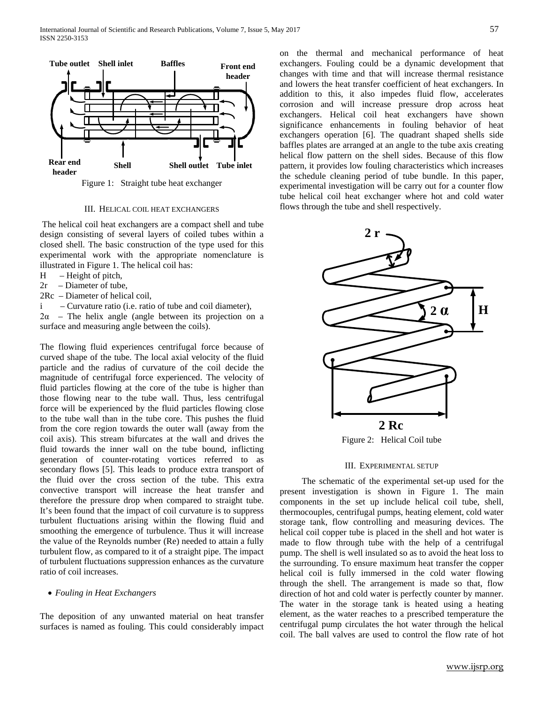

Figure 1: Straight tube heat exchanger

#### III. HELICAL COIL HEAT EXCHANGERS

The helical coil heat exchangers are a compact shell and tube design consisting of several layers of coiled tubes within a closed shell. The basic construction of the type used for this experimental work with the appropriate nomenclature is illustrated in Figure 1. The helical coil has:

- H Height of pitch,
- 2r Diameter of tube,
- 2Rc Diameter of helical coil,
- i Curvature ratio (i.e. ratio of tube and coil diameter),

 $2\alpha$  – The helix angle (angle between its projection on a surface and measuring angle between the coils).

The flowing fluid experiences centrifugal force because of curved shape of the tube. The local axial velocity of the fluid particle and the radius of curvature of the coil decide the magnitude of centrifugal force experienced. The velocity of fluid particles flowing at the core of the tube is higher than those flowing near to the tube wall. Thus, less centrifugal force will be experienced by the fluid particles flowing close to the tube wall than in the tube core. This pushes the fluid from the core region towards the outer wall (away from the coil axis). This stream bifurcates at the wall and drives the fluid towards the inner wall on the tube bound, inflicting generation of counter-rotating vortices referred to as secondary flows [5]. This leads to produce extra transport of the fluid over the cross section of the tube. This extra convective transport will increase the heat transfer and therefore the pressure drop when compared to straight tube. It's been found that the impact of coil curvature is to suppress turbulent fluctuations arising within the flowing fluid and smoothing the emergence of turbulence. Thus it will increase the value of the Reynolds number (Re) needed to attain a fully turbulent flow, as compared to it of a straight pipe. The impact of turbulent fluctuations suppression enhances as the curvature ratio of coil increases.

# • *Fouling in Heat Exchangers*

The deposition of any unwanted material on heat transfer surfaces is named as fouling. This could considerably impact on the thermal and mechanical performance of heat exchangers. Fouling could be a dynamic development that changes with time and that will increase thermal resistance and lowers the heat transfer coefficient of heat exchangers. In addition to this, it also impedes fluid flow, accelerates corrosion and will increase pressure drop across heat exchangers. Helical coil heat exchangers have shown significance enhancements in fouling behavior of heat exchangers operation [6]. The quadrant shaped shells side baffles plates are arranged at an angle to the tube axis creating helical flow pattern on the shell sides. Because of this flow pattern, it provides low fouling characteristics which increases the schedule cleaning period of tube bundle. In this paper, experimental investigation will be carry out for a counter flow tube helical coil heat exchanger where hot and cold water flows through the tube and shell respectively.



Figure 2: Helical Coil tube

### III. EXPERIMENTAL SETUP

 The schematic of the experimental set-up used for the present investigation is shown in Figure 1. The main components in the set up include helical coil tube, shell, thermocouples, centrifugal pumps, heating element, cold water storage tank, flow controlling and measuring devices. The helical coil copper tube is placed in the shell and hot water is made to flow through tube with the help of a centrifugal pump. The shell is well insulated so as to avoid the heat loss to the surrounding. To ensure maximum heat transfer the copper helical coil is fully immersed in the cold water flowing through the shell. The arrangement is made so that, flow direction of hot and cold water is perfectly counter by manner. The water in the storage tank is heated using a heating element, as the water reaches to a prescribed temperature the centrifugal pump circulates the hot water through the helical coil. The ball valves are used to control the flow rate of hot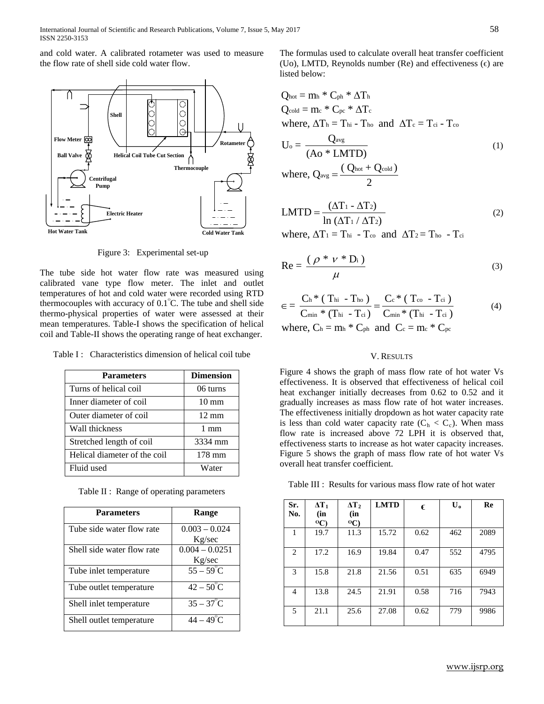and cold water. A calibrated rotameter was used to measure the flow rate of shell side cold water flow.



Figure 3: Experimental set-up

The tube side hot water flow rate was measured using calibrated vane type flow meter. The inlet and outlet temperatures of hot and cold water were recorded using RTD thermocouples with accuracy of  $0.1^{\circ}$ C. The tube and shell side thermo-physical properties of water were assessed at their mean temperatures. Table-I shows the specification of helical coil and Table-II shows the operating range of heat exchanger.

Table I : Characteristics dimension of helical coil tube

| <b>Parameters</b>            | <b>Dimension</b> |  |  |
|------------------------------|------------------|--|--|
| Turns of helical coil        | 06 turns         |  |  |
| Inner diameter of coil       | $10 \text{ mm}$  |  |  |
| Outer diameter of coil       | $12 \text{ mm}$  |  |  |
| Wall thickness               | $1 \text{ mm}$   |  |  |
| Stretched length of coil     | 3334 mm          |  |  |
| Helical diameter of the coil | 178 mm           |  |  |
| Fluid used                   | Water            |  |  |

Table II : Range of operating parameters

| <b>Parameters</b>          | Range                       |  |  |  |  |  |
|----------------------------|-----------------------------|--|--|--|--|--|
| Tube side water flow rate  | $0.003 - 0.024$<br>Kg/sec   |  |  |  |  |  |
|                            |                             |  |  |  |  |  |
| Shell side water flow rate | $0.004 - 0.0251$            |  |  |  |  |  |
|                            | Kg/sec                      |  |  |  |  |  |
| Tube inlet temperature     | $\frac{1}{55-59}$ °C        |  |  |  |  |  |
| Tube outlet temperature    | $42 - 50^{\circ}$ C         |  |  |  |  |  |
| Shell inlet temperature    | $35-37^{\circ}\overline{C}$ |  |  |  |  |  |
| Shell outlet temperature   | $44 - 49^{\circ}$ C         |  |  |  |  |  |

The formulas used to calculate overall heat transfer coefficient (Uo), LMTD, Reynolds number (Re) and effectiveness  $(\epsilon)$  are listed below:

$$
Q_{hot} = m_h * C_{ph} * \Delta T_h
$$
  
\n
$$
Q_{cold} = m_c * C_{pc} * \Delta T_c
$$
  
\nwhere,  $\Delta T_h = T_{hi} - T_{ho}$  and  $\Delta T_c = T_{ci} - T_{co}$   
\n
$$
U_o = \frac{Q_{avg}}{(Ao * LMTD)}
$$
  
\nwhere,  $Q_{avg} = \frac{(Q_{hot} + Q_{cold})}{2}$  (1)

$$
LMTD = \frac{(\Delta T_1 - \Delta T_2)}{\ln (\Delta T_1 / \Delta T_2)}
$$
 (2)

where,  $\Delta T_1 = T_{hi} - T_{co}$  and  $\Delta T_2 = T_{ho} - T_{ci}$ 

$$
Re = \frac{(\rho * \nu * D_i)}{\mu}
$$
 (3)

$$
\epsilon = \frac{C_{h} * (T_{hi} - T_{ho})}{C_{min} * (T_{hi} - T_{ci})} = \frac{C_{c} * (T_{co} - T_{ci})}{C_{min} * (T_{hi} - T_{ci})}
$$
(4)  
where  $C_{i} = m_{i} * C_{i}$  and  $C_{i} = m * C_{i}$ 

where, 
$$
C_h = m_h * C_{ph}
$$
 and  $C_c = m_c * C_{pc}$ 

# V. RESULTS

Figure 4 shows the graph of mass flow rate of hot water Vs effectiveness. It is observed that effectiveness of helical coil heat exchanger initially decreases from 0.62 to 0.52 and it gradually increases as mass flow rate of hot water increases. The effectiveness initially dropdown as hot water capacity rate is less than cold water capacity rate  $(C_h < C_c)$ . When mass flow rate is increased above 72 LPH it is observed that, effectiveness starts to increase as hot water capacity increases. Figure 5 shows the graph of mass flow rate of hot water Vs overall heat transfer coefficient.

Table III : Results for various mass flow rate of hot water

| Sr.<br>No. | $\Delta T_1$<br>(in       | $\Delta T_2$<br>(in       | <b>LMTD</b> | €    | $\mathbf{U}_{\mathbf{0}}$ | Re   |
|------------|---------------------------|---------------------------|-------------|------|---------------------------|------|
|            | $^{\mathrm{o}}\mathrm{C}$ | $^{\mathrm{o}}\mathrm{C}$ |             |      |                           |      |
| 1          | 19.7                      | 11.3                      | 15.72       | 0.62 | 462                       | 2089 |
| 2          | 17.2                      | 16.9                      | 19.84       | 0.47 | 552                       | 4795 |
| 3          | 15.8                      | 21.8                      | 21.56       | 0.51 | 635                       | 6949 |
| 4          | 13.8                      | 24.5                      | 21.91       | 0.58 | 716                       | 7943 |
| 5          | 21.1                      | 25.6                      | 27.08       | 0.62 | 779                       | 9986 |